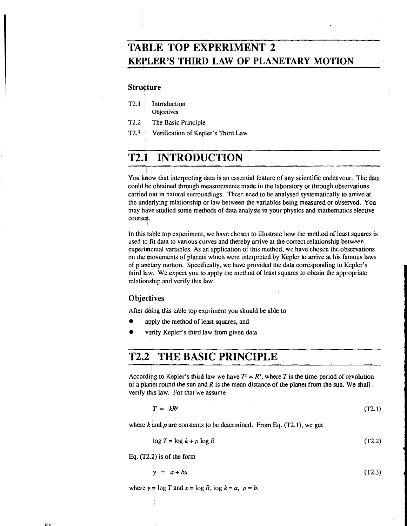## **TABLE TOP EXPERIMENT 2 KEPLER'S THIRD LAW OF PLANETARY MOTION**

#### **Structure**

| T2.1 Introduction        |
|--------------------------|
| Objectives               |
| T2.2 The Basic Principle |

**T2.3** Verification of Kepler's Third Law

# **T2.1 INTRODUCTION**

You know that interpreting data is an essential feature of any scientific endeavour. The data could be obtained through measurements made in the laboratory or through observations carried out in natural surroundings. These need to be analysed systematically to arrive at the underlying relationship or law between the variables being measured or observed. You may have studied some methods of data analysis in your physics and mathematics elective courses.

In this table top experiment, we have chosen to illustrate how the method of least squares is used to fit data to various curves and thereby arrive at the correct relationship between experimental variables. As an application of this method, we have chosen the observations on the movements of planets which were interpreted by Kepler to arrive at his famous laws of planetary motion. Specifically, we have provided the data corresponding to Kepler's third law. We expect you to apply the method of least squares to obtain the appropriate relationship and verify this law.

#### **Objectives**

After doing this table top expriment you should be able to

- apply the method of least squares, and
- verify Kepler's third law from given data

## **T2.2 THE BASIC PRINCIPLE**

According to Kepler's third law we have  $T^2 \propto R^3$ , where T is the time-period of revolution of a planet round the sun and  $R$  is the mean distance of the planet from the sun. We shall verify this law. For that we assume

$$
T = kR^p \tag{T2.1}
$$

where k and p are constants to be determined. From Eq. (T2.1), we get

$$
\log T = \log k + p \log R \tag{T2.2}
$$

Eq.  $(T2.2)$  is of the form

$$
y = a + bx \tag{T2.3}
$$

where  $y = \log T$  and  $x = \log R$ ,  $\log k = a$ ,  $p = b$ .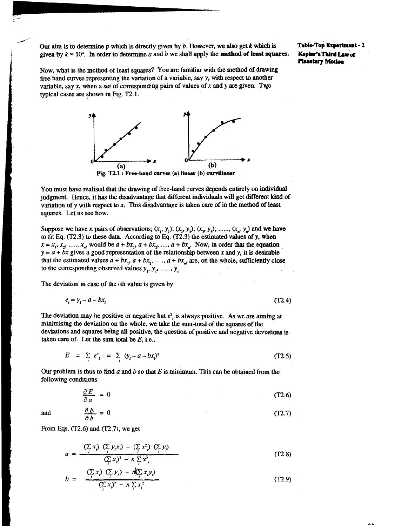$\frac{1}{2}$  Our s Our aim is to determine  $p$  which is directly given by  $b$ . However, we also get  $k$  which is given by  $k = 10^{\circ}$ . In order to determine a and b we shall apply the **method of least squares.** 

Table-Top Experiment - 2 Kepler's Third Law of **Planetary Motion** 

Now, what is the method of least squares? You are familiar with the method of drawing free hand eurves representing the variation of a variable, say y, with respect to another variable, say x, when a set of corresponding pairs of values of x and y are given. Two typical cases are shown in **Fig. T2.1.** 



You must have realised that the drawing of free-hand curves depends entirely on individual judgment. Hence, it has the disadvantage that different individuals will get different kind of variation of y with respect to x. This disadvantage is taken care of in the method of least squares. Let us see how.

Suppose we have *n* pairs of observations;  $(x_1, y_1)$ ;  $(x_2, y_2)$ ;  $(x_3, y_3)$ ; ......,  $(x_n, y_n)$  and we have to fit Eq. (T2.3) to these data. According to Eq. (T2.3) the estimated values of y, when  $x = x_1, x_2, \ldots, x_n$ , would be  $a + bx_1, a + bx_2, \ldots, a + bx_n$ . Now, in order that the equation  $y = a + bx$  gives a good representation of the relationship between x and y, it is desirable that the estimated values  $a + bx_1$ ,  $a + bx_2$ , ....,  $a + bx_n$ , are, on the whole, sufficiently close to the corresponding observed values  $y_1, y_2, \ldots, y_n$ .

The deviation in case of the ith value is given by

$$
e_i = y_i - a - bx_i \tag{T2.4}
$$

The deviation may be positive or negative but  $e^2$ , is always positive. As we are aiming at minimising the deviation on the whole, we take the sum-total of the squares of the deviations and squares be'ing all positive, the question of positive and negative deviations is taken care of. Let the sum total be  $E$ , i.e.,

$$
E = \sum_{i} e_i^2 = \sum_{i} (y_i - a - bx_i)^2
$$
 (T2.5)

Our problem is thus to find a and b so that  $E$  is minimum. This can be obtained from the following conditions

$$
\frac{\partial E}{\partial t} = 0 \tag{T2.6}
$$

and

$$
\frac{\partial E}{\partial h} = 0 \tag{T2.7}
$$

From Eqs.  $(T2.6)$  and  $(T2.7)$ , we get

$$
a = \frac{(\sum_i x_i)(\sum_i y_i x_i) - (\sum_i x_i^2)(\sum_i y_i)}{(\sum_i x_i)^2 - n \sum_i x_i^2}
$$
 (T2.8)

$$
b = \frac{(\sum x_i)(\sum y_i) - n(\sum_i x_i y_i)}{(\sum_i x_i)^2 - n(\sum_i x_i)^2}
$$
 (T2.9)